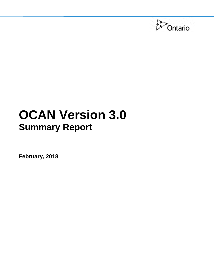

# **OCAN Version 3.0 Summary Report**

**February, 2018**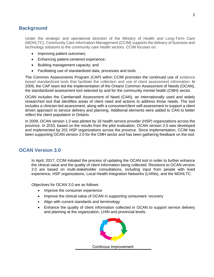## **Background**

 Under the strategic and operational direction of the Ministry of Health and Long-Term Care (MOHLTC), Community Care Information Management (CCIM) supports the delivery of business and technology solutions to the community care health sectors. CCIM focuses on:

- Improving patient outcomes;
- Enhancing patient-centered experience;
- • Building management capacity; and
- Facilitating use of standardized data, processes and tools.

 The Common Assessments Program (CAP) within CCIM promotes the continued use of evidence based standardized tools that facilitate the collection and use of client assessment information. In 2009, the CAP team led the implementation of the Ontario Common Assessment of Needs (OCAN), the standardized assessment tool selected by and for the community mental health (CMH) sector.

 OCAN includes the Camberwell Assessment of Need (CAN), an internationally used and widely researched tool that identifies areas of client need and actions to address those needs. The tool includes a clinician-led assessment, along with a consumer/client self-assessment to support a client driven approach to service delivery and planning. Additional elements were added to CAN to better reflect the client population in Ontario.

 In 2009, OCAN version 1.0 was piloted by 16 health service provider (HSP) organizations across the province. In 2010, based on the results from the pilot evaluation, OCAN version 2.0 was developed and implemented by 201 HSP organizations across the province. Since implementation, CCIM has been supporting OCAN version 2.0 for the CMH sector and has been gathering feedback on the tool.

## **OCAN Version 3.0**

 In April, 2017, CCIM initiated the process of updating the OCAN tool in order to further enhance the clinical value and the quality of client information being collected. Revisions to OCAN version 2.0 are based on multi-stakeholder consultations, including input from people with lived experience, HSP organizations, Local Health Integration Networks (LHINs), and the MOHLTC.

Objectives for OCAN 3.0 are as follows:

- Improve the consumer experience
- Improve the clinical value of OCAN in supporting consumers' recovery
- Align with current standards and terminology
- Enhance the quality of client information collected in OCAN to support service delivery and planning at the organization, LHIN and provincial levels.

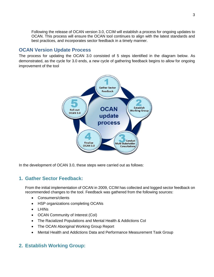Following the release of OCAN version 3.0, CCIM will establish a process for ongoing updates to OCAN. This process will ensure the OCAN tool continues to align with the latest standards and best practices, and incorporates sector feedback in a timely manner.

## **OCAN Version Update Process**

 The process for updating the OCAN 3.0 consisted of 5 steps identified in the diagram below. As demonstrated, as the cycle for 3.0 ends, a new cycle of gathering feedback begins to allow for ongoing improvement of the tool



In the development of OCAN 3.0, these steps were carried out as follows:

# **1. Gather Sector Feedback:**

 From the initial implementation of OCAN in 2009, CCIM has collected and logged sector feedback on recommended changes to the tool. Feedback was gathered from the following sources:

- Consumers/clients
- HSP organizations completing OCANs
- LHINs
- OCAN Community of Interest (CoI)
- The Racialized Populations and Mental Health & Addictions CoI
- The OCAN Aboriginal Working Group Report
- Mental Health and Addictions Data and Performance Measurement Task Group

## **2. Establish Working Group:**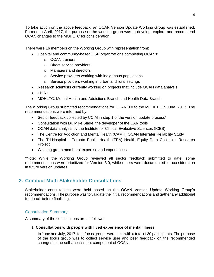To take action on the above feedback, an OCAN Version Update Working Group was established. Formed in April, 2017, the purpose of the working group was to develop, explore and recommend OCAN changes to the MOHLTC for consideration.

There were 16 members on the Working Group with representation from:

- Hospital and community-based HSP organizations completing OCANs:
	- $\circ$  OCAN trainers
	- o Direct service providers
	- $\circ$  Managers and directors
	- $\circ$  Service providers working with indigenous populations
	- $\circ$  Service providers working in urban and rural settings
- Research scientists currently working on projects that include OCAN data analysis
- • LHINs
- MOHLTC: Mental Health and Addictions Branch and Health Data Branch

 The Working Group submitted recommendations for OCAN 3.0 to the MOHLTC in June, 2017. The recommendations were informed by:

- Sector feedback collected by CCIM in step 1 of the version update process\*
- Consultation with Dr. Mike Slade, the developer of the CAN tools
- OCAN data analysis by the Institute for Clinical Evaluative Sciences (ICES)
- The Centre for Addiction and Mental Health (CAMH) OCAN Interrater Reliability Study
- The Tri-Hospital + Toronto Public Health (TPA) Health Equity Data Collection Research Project
- • Working group members' expertise and experiences

 \*Note: While the Working Group reviewed all sector feedback submitted to date, some recommendations were prioritized for Version 3.0, while others were documented for consideration in future version updates.

# **3. Conduct Multi-Stakeholder Consultations**

 Stakeholder consultations were held based on the OCAN Version Update Working Group's recommendations. The purpose was to validate the initial recommendations and gather any additional feedback before finalizing.

## Consultation Summary:

A summary of the consultations are as follows:

## 1. **Consultations with people with lived experience of mental illness**

 In June and July, 2017, four focus groups were held with a total of 30 participants. The purpose of the focus group was to collect service user and peer feedback on the recommended changes to the self-assessment component of OCAN.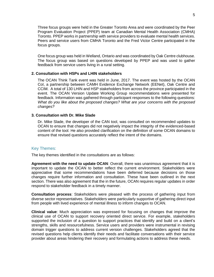Three focus groups were held in the Greater Toronto Area and were coordinated by the Peer Program Evaluation Project (PPEP) team at Canadian Mental Health Association (CMHA) Toronto. PPEP works in partnership with service providers to evaluate mental health services. Peers and service users from CMHA Toronto and the Fred Victor Centre participated in the focus groups.

 One focus group was held in Welland, Ontario and was coordinated by Oak Centre clubhouse. The focus group was based on questions developed by PPEP and was used to gather feedback from service users living in a rural setting.

#### **2. Consultation with HSPs and LHIN stakeholders**

 The OCAN Think Tank event was held in June, 2017. The event was hosted by the OCAN CoI, a partnership between CAMH Evidence Exchange Network (EENet), Oak Centre and CCIM. A total of 130 LHIN and HSP stakeholders from across the province participated in the event. The OCAN Version Update Working Group recommendations were presented for feedback. Information was gathered through participant responses to the following questions: What do you like about the proposed changes? What are your concerns with the proposed *changes?* 

#### **3. Consultation with Dr. Mike Slade**

 Dr. Mike Slade, the developer of the CAN tool, was consulted on recommended updates to OCAN to ensure that changes did not negatively impact the integrity of the evidenced-based content of the tool. He also provided clarification on the definition of some OCAN domains to ensure that revised questions accurately reflect the intent of the domains.

#### Key Themes:

The key themes identified in the consultations are as follows:

Agreement with the need to update OCAN: Overall, there was unanimous agreement that it is important to update the OCAN to better reflect the current environment. Stakeholders were appreciative that some recommendations have been deferred because decisions on those changes require further information and consultation. These have been outlined in the next section. There was also agreement that the in the future, OCAN requires regular updates in order respond to stakeholder feedback in a timely manner.

 **Consultation process**: Stakeholders were pleased with the process of gathering input from diverse sector representatives. Stakeholders were particularly supportive of gathering direct input from people with lived experience of mental illness to inform changes to OCAN.

 **Clinical value**: Much appreciation was expressed for focusing on changes that improve the clinical use of OCAN to support recovery oriented direct service. For example, stakeholders supported the inclusion of a question to support practices that identify and build on a client's strengths, skills and resourcefulness. Service users and providers were instrumental in revising domain trigger questions to address current version challenges. Stakeholders agreed that the revised questions help clients identify their needs and facilitate conversations with their service provider about areas hindering their recovery and formulating actions to address these needs.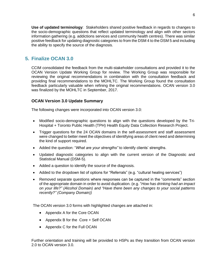**Use of updated terminology**: Stakeholders shared positive feedback in regards to changes to information gathering (e.g. addictions services and community health centres). There was similar positive feedback for updating diagnostic categories to from the DSM 4 to the DSM 5 and including the ability to specify the source of the diagnosis. the socio-demographic questions that reflect updated terminology and align with other sectors

# **5. Finalize OCAN 3.0**

 CCIM consolidated the feedback from the multi-stakeholder consultations and provided it to the OCAN Version Update Working Group for review. The Working Group was responsible for reviewing the original recommendations in combination with the consultation feedback and providing final recommendations to the MOHLTC. The Working Group found the consultation feedback particularly valuable when refining the original recommendations. OCAN version 3.0 was finalized by the MOHLTC in September, 2017.

## **OCAN Version 3.0 Update Summary**

The following changes were incorporated into OCAN version 3.0:

- Modified socio-demographic questions to align with the questions developed by the Tri-Hospital + Toronto Public Health (TPH) Health Equity Data Collection Research Project.
- Trigger questions for the 24 OCAN domains in the self-assessment and staff assessment were changed to better meet the objectives of identifying areas of client need and determining the kind of support required.
- Added the question: "*What are your strengths"* to identify clients' strengths.
- • Updated diagnostic categories to align with the current version of the Diagnostic and Statistical Manual (DSM-5).
- Added a question to identify the source of the diagnosis.
- Added to the dropdown list of options for "Referrals" (e.g. "cultural healing services")
- Removed separate questions where responses can be captured in the "comments" section of the appropriate domain in order to avoid duplication. (e.g. "*How has drinking had an impact on your life?" (Alcohol Domain) and "Have there been any changes to your social patterns recently?" (Company Domain))*

The OCAN version 3.0 forms with highlighted changes are attached in:

- Appendix A for the Core OCAN
- • Appendix B for the Core + Self OCAN
- Appendix C for the Full OCAN

 Further orientation and training will be provided to HSPs as they transition from OCAN version 2.0 to OCAN version 3.0.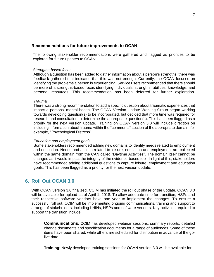### **Recommendations for future improvements to OCAN**

 The following stakeholder recommendations were gathered and flagged as priorities to be explored for future updates to OCAN:

#### *Strengths-based focus*

 Although a question has been added to gather information about a person's strengths, there was feedback gathered that indicated that this was not enough. Currently, the OCAN focuses on identifying the problems a person is experiencing. Service users recommended that there should be more of a strengths-based focus identifying individuals' strengths, abilities, knowledge, and personal resources. This recommendation has been deferred for further exploration.

#### *Trauma*

 There was a strong recommendation to add a specific question about traumatic experiences that impact a persons' mental health. The OCAN Version Update Working Group began working towards developing question(s) to be incorporated, but decided that more time was required for research and consultation to determine the appropriate question(s). This has been flagged as a priority for the next version update. Training on OCAN version 3.0 will include direction on including information about trauma within the "comments" section of the appropriate domain, for example, "Psychological Distress".

#### *Education and employment goals*

 Some stakeholders recommended adding new domains to identify needs related to employment within the same domain from the CAN called "Daytime Activities". The domain itself cannot be changed as it would impact the integrity of the evidence-based tool. In light of this, stakeholders goals. This has been flagged as a priority for the next version update. and education. Needs and actions related to leisure, education and employment are collected have recommended adding additional questions to capture leisure, employment and education

## **6. Roll Out OCAN 3.0**

 With OCAN version 3.0 finalized, CCIM has initiated the roll out phase of the update. OCAN 3.0 will be available for upload as of April 1, 2018. To allow adequate time for transition, HSPs and their respective software vendors have one year to implement the changes. To ensure a successful roll out, CCIM will be implementing ongoing communications, training and support to a range of stakeholders, including LHINs, HSPs and software vendors. Key activities required to support the transition include:

 **Communications**: CCIM has developed webinar sessions, summary reports, detailed change documents and specification documents for a range of audiences. Some of these items have been shared, while others are scheduled for distribution in advance of the golive date.

**Training**: Newly developed training sessions for OCAN version 3.0 will be available for